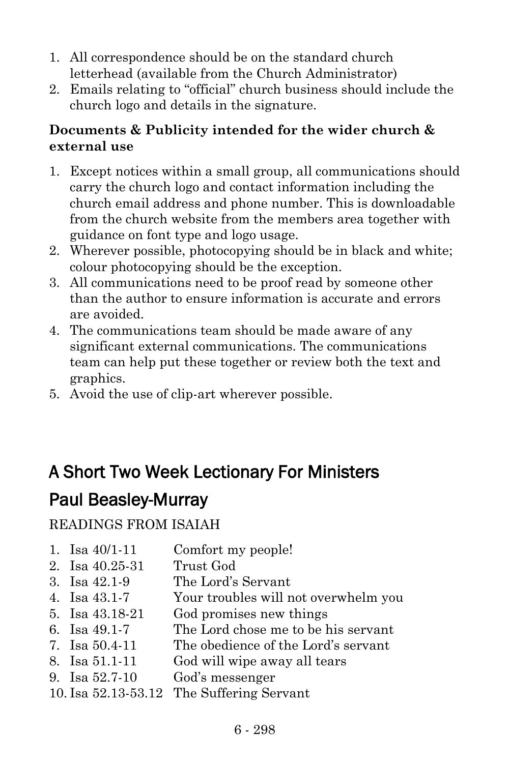- 1. All correspondence should be on the standard church letterhead (available from the Church Administrator)
- 2. Emails relating to "official" church business should include the church logo and details in the signature.

# **Documents & Publicity intended for the wider church & external use**

- 1. Except notices within a small group, all communications should carry the church logo and contact information including the church email address and phone number. This is downloadable from the church website from the members area together with guidance on font type and logo usage.
- 2. Wherever possible, photocopying should be in black and white; colour photocopying should be the exception.
- 3. All communications need to be proof read by someone other than the author to ensure information is accurate and errors are avoided.
- 4. The communications team should be made aware of any significant external communications. The communications team can help put these together or review both the text and graphics.
- 5. Avoid the use of clip-art wherever possible.

# A Short Two Week Lectionary For Ministers

# Paul Beasley-Murray

# READINGS FROM ISAIAH

- 1. Isa 40/1-11 Comfort my people!
- 2. Isa 40.25-31 Trust God
- 3. Isa 42.1-9 The Lord's Servant
- 4. Isa 43.1-7 Your troubles will not overwhelm you
- 5. Isa 43.18-21 God promises new things
- 6. Isa 49.1-7 The Lord chose me to be his servant
- 7. Isa 50.4-11 The obedience of the Lord's servant
- 8. Isa 51.1-11 God will wipe away all tears
- 9. Isa 52.7-10 God's messenger
- 10. Isa 52.13-53.12 The Suffering Servant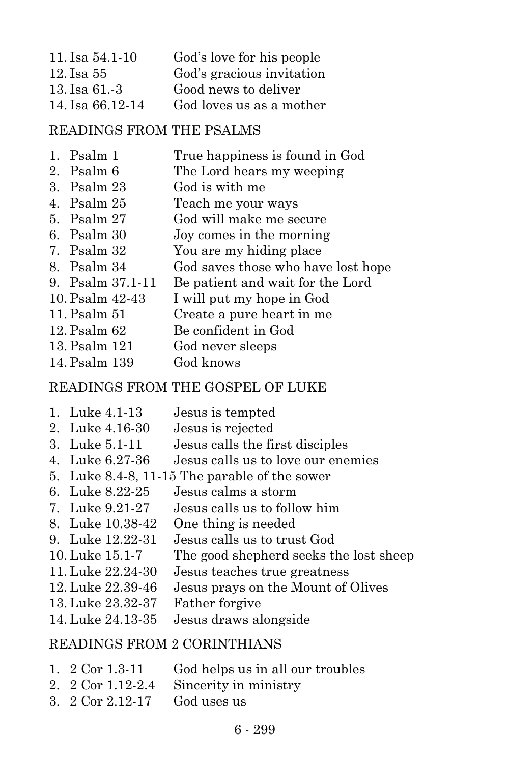| 11. Isa 54.1-10   | God's love for his people |
|-------------------|---------------------------|
| 12. Isa 55        | God's gracious invitation |
| $13.$ Isa $61.-3$ | Good news to deliver      |
| 14. Isa 66.12-14  | God loves us as a mother  |

#### READINGS FROM THE PSALMS

- 1. Psalm 1 True happiness is found in God
- 2. Psalm 6 The Lord hears my weeping
- 3. Psalm 23 God is with me
- 4. Psalm 25 Teach me your ways
- 5. Psalm 27 God will make me secure
- 6. Psalm 30 Joy comes in the morning
- 7. Psalm 32 You are my hiding place
- 8. Psalm 34 God saves those who have lost hope
- 9. Psalm 37.1-11 Be patient and wait for the Lord
- 10. Psalm 42-43 I will put my hope in God
- 11. Psalm 51 Create a pure heart in me
- 12. Psalm 62 Be confident in God
- 13. Psalm 121 God never sleeps
- 14. Psalm 139 God knows

## READINGS FROM THE GOSPEL OF LUKE

- 1. Luke 4.1-13 Jesus is tempted 2. Luke 4.16-30 Jesus is rejected 3. Luke 5.1-11 Jesus calls the first disciples 4. Luke 6.27-36 Jesus calls us to love our enemies 5. Luke 8.4-8, 11-15 The parable of the sower 6. Luke 8.22-25 Jesus calms a storm 7. Luke 9.21-27 Jesus calls us to follow him 8. Luke 10.38-42 One thing is needed 9. Luke 12.22-31 Jesus calls us to trust God 10. Luke 15.1-7 The good shepherd seeks the lost sheep 11. Luke 22.24-30 Jesus teaches true greatness 12. Luke 22.39-46 Jesus prays on the Mount of Olives 13. Luke 23.32-37 Father forgive
- 14. Luke 24.13-35 Jesus draws alongside

## READINGS FROM 2 CORINTHIANS

- 1. 2 Cor 1.3-11 God helps us in all our troubles
- 2. 2 Cor 1.12-2.4 Sincerity in ministry
- 3. 2 Cor 2.12-17 God uses us